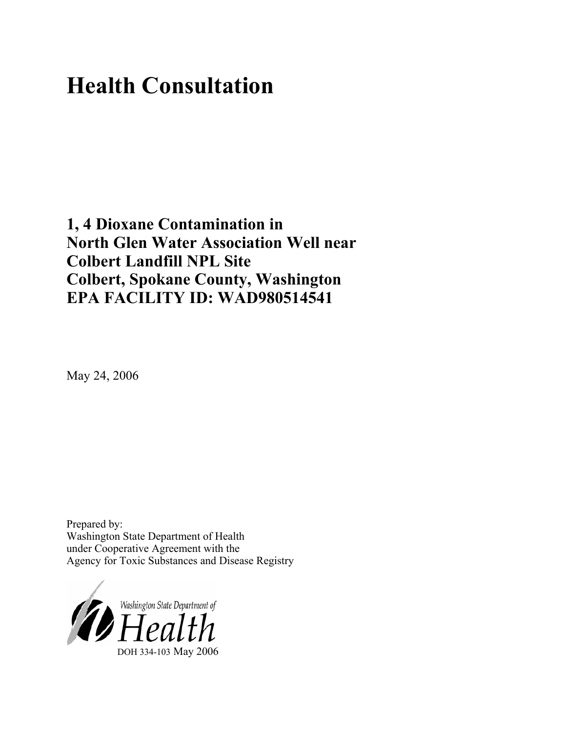# **Health Consultation**

**1, 4 Dioxane Contamination in North Glen Water Association Well near Colbert Landfill NPL Site Colbert, Spokane County, Washington EPA FACILITY ID: WAD980514541**

May 24, 2006

Prepared by: Washington State Department of Health under Cooperative Agreement with the Agency for Toxic Substances and Disease Registry

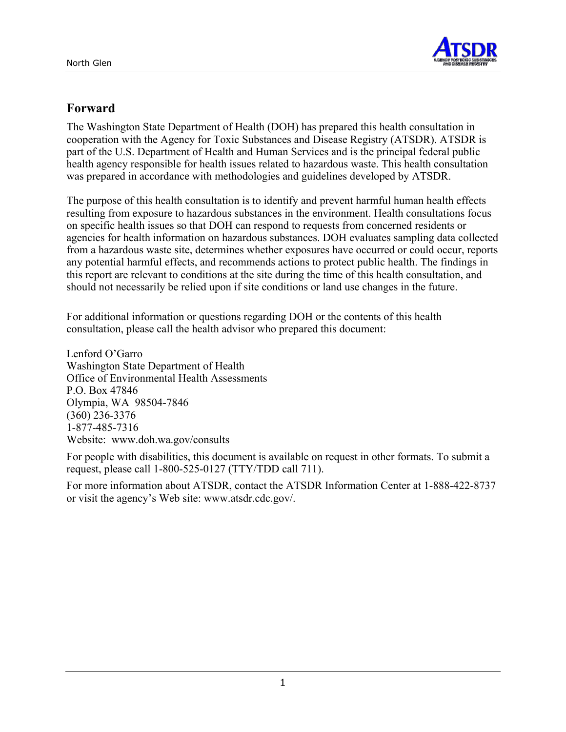

## **Forward**

The Washington State Department of Health (DOH) has prepared this health consultation in cooperation with the Agency for Toxic Substances and Disease Registry (ATSDR). ATSDR is part of the U.S. Department of Health and Human Services and is the principal federal public health agency responsible for health issues related to hazardous waste. This health consultation was prepared in accordance with methodologies and guidelines developed by ATSDR.

The purpose of this health consultation is to identify and prevent harmful human health effects resulting from exposure to hazardous substances in the environment. Health consultations focus on specific health issues so that DOH can respond to requests from concerned residents or agencies for health information on hazardous substances. DOH evaluates sampling data collected from a hazardous waste site, determines whether exposures have occurred or could occur, reports any potential harmful effects, and recommends actions to protect public health. The findings in this report are relevant to conditions at the site during the time of this health consultation, and should not necessarily be relied upon if site conditions or land use changes in the future.

For additional information or questions regarding DOH or the contents of this health consultation, please call the health advisor who prepared this document:

Lenford O'Garro Washington State Department of Health Office of Environmental Health Assessments P.O. Box 47846 Olympia, WA 98504-7846 (360) 236-3376 1-877-485-7316 Website: [www.doh.wa.gov/](http://www.doh.wa.gov/consults)consults

For people with disabilities, this document is available on request in other formats. To submit a request, please call 1-800-525-0127 (TTY/TDD call 711).

For more information about ATSDR, contact the ATSDR Information Center at 1-888-422-8737 or visit the agency's Web site: www.atsdr.cdc.gov/.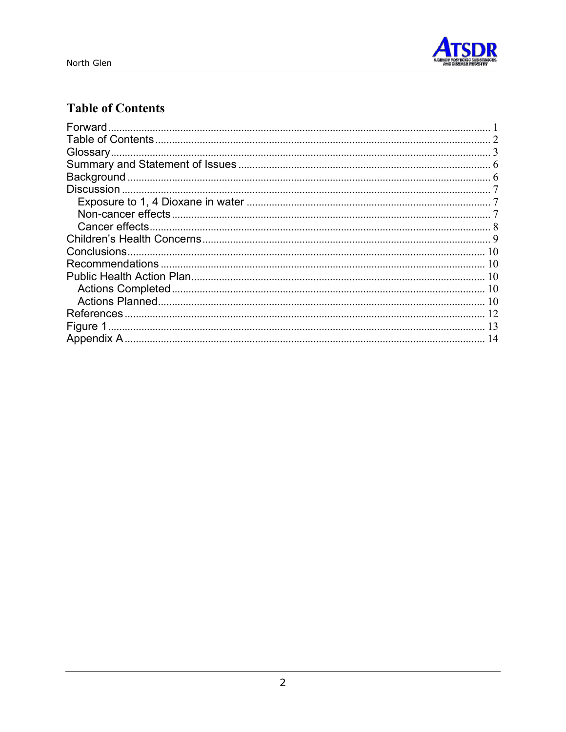

## **Table of Contents**

| Forward           |    |
|-------------------|----|
|                   |    |
| Glossary.         |    |
|                   |    |
|                   |    |
| <b>Discussion</b> |    |
|                   |    |
|                   |    |
|                   |    |
|                   |    |
|                   | 10 |
|                   |    |
|                   |    |
|                   |    |
|                   |    |
| References        | 12 |
|                   | 13 |
|                   | 14 |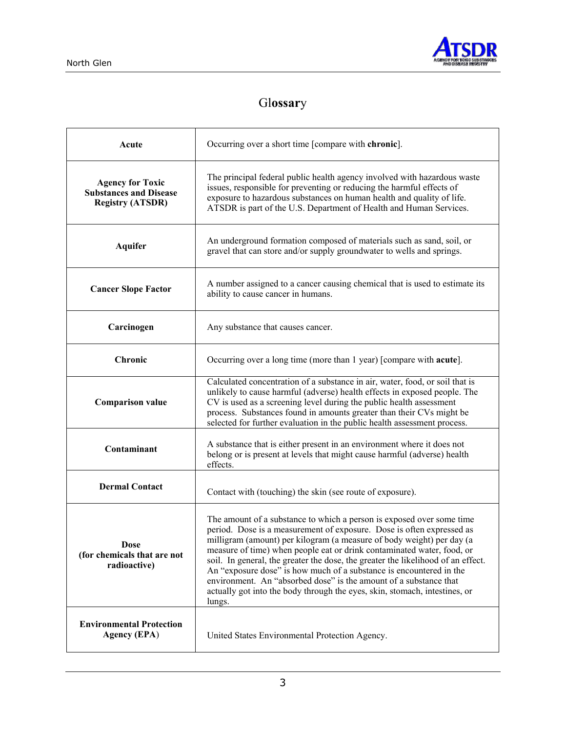

## Gl**ossar**y

| Acute                                                                               | Occurring over a short time [compare with chronic].                                                                                                                                                                                                                                                                                                                                                                                                                                                                                                                                                                       |  |  |  |
|-------------------------------------------------------------------------------------|---------------------------------------------------------------------------------------------------------------------------------------------------------------------------------------------------------------------------------------------------------------------------------------------------------------------------------------------------------------------------------------------------------------------------------------------------------------------------------------------------------------------------------------------------------------------------------------------------------------------------|--|--|--|
| <b>Agency for Toxic</b><br><b>Substances and Disease</b><br><b>Registry (ATSDR)</b> | The principal federal public health agency involved with hazardous waste<br>issues, responsible for preventing or reducing the harmful effects of<br>exposure to hazardous substances on human health and quality of life.<br>ATSDR is part of the U.S. Department of Health and Human Services.                                                                                                                                                                                                                                                                                                                          |  |  |  |
| <b>Aquifer</b>                                                                      | An underground formation composed of materials such as sand, soil, or<br>gravel that can store and/or supply groundwater to wells and springs.                                                                                                                                                                                                                                                                                                                                                                                                                                                                            |  |  |  |
| <b>Cancer Slope Factor</b>                                                          | A number assigned to a cancer causing chemical that is used to estimate its<br>ability to cause cancer in humans.                                                                                                                                                                                                                                                                                                                                                                                                                                                                                                         |  |  |  |
| Carcinogen                                                                          | Any substance that causes cancer.                                                                                                                                                                                                                                                                                                                                                                                                                                                                                                                                                                                         |  |  |  |
| <b>Chronic</b>                                                                      | Occurring over a long time (more than 1 year) [compare with <b>acute</b> ].                                                                                                                                                                                                                                                                                                                                                                                                                                                                                                                                               |  |  |  |
| <b>Comparison value</b>                                                             | Calculated concentration of a substance in air, water, food, or soil that is<br>unlikely to cause harmful (adverse) health effects in exposed people. The<br>CV is used as a screening level during the public health assessment<br>process. Substances found in amounts greater than their CVs might be<br>selected for further evaluation in the public health assessment process.                                                                                                                                                                                                                                      |  |  |  |
| Contaminant                                                                         | A substance that is either present in an environment where it does not<br>belong or is present at levels that might cause harmful (adverse) health<br>effects.                                                                                                                                                                                                                                                                                                                                                                                                                                                            |  |  |  |
| <b>Dermal Contact</b>                                                               | Contact with (touching) the skin (see route of exposure).                                                                                                                                                                                                                                                                                                                                                                                                                                                                                                                                                                 |  |  |  |
| <b>Dose</b><br>(for chemicals that are not<br>radioactive)                          | The amount of a substance to which a person is exposed over some time<br>period. Dose is a measurement of exposure. Dose is often expressed as<br>milligram (amount) per kilogram (a measure of body weight) per day (a<br>measure of time) when people eat or drink contaminated water, food, or<br>soil. In general, the greater the dose, the greater the likelihood of an effect.<br>An "exposure dose" is how much of a substance is encountered in the<br>environment. An "absorbed dose" is the amount of a substance that<br>actually got into the body through the eyes, skin, stomach, intestines, or<br>lungs. |  |  |  |
| <b>Environmental Protection</b><br><b>Agency (EPA)</b>                              | United States Environmental Protection Agency.                                                                                                                                                                                                                                                                                                                                                                                                                                                                                                                                                                            |  |  |  |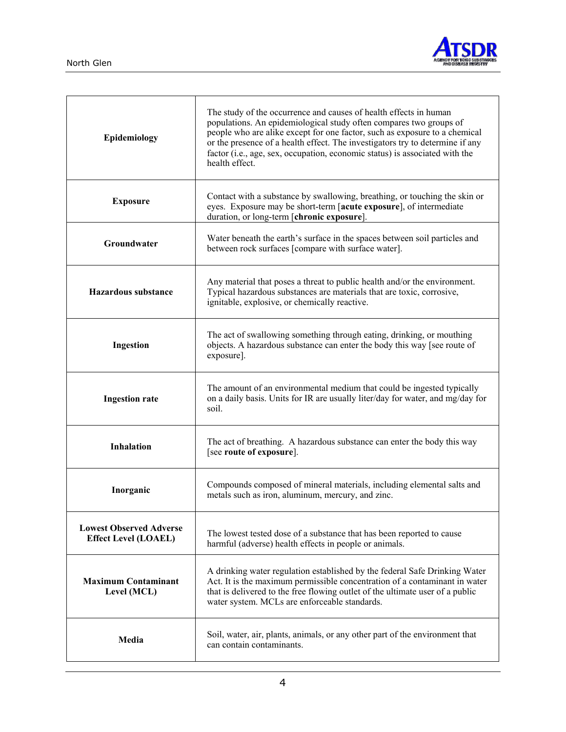

| Epidemiology                                                  | The study of the occurrence and causes of health effects in human<br>populations. An epidemiological study often compares two groups of<br>people who are alike except for one factor, such as exposure to a chemical<br>or the presence of a health effect. The investigators try to determine if any<br>factor (i.e., age, sex, occupation, economic status) is associated with the<br>health effect. |  |  |  |  |
|---------------------------------------------------------------|---------------------------------------------------------------------------------------------------------------------------------------------------------------------------------------------------------------------------------------------------------------------------------------------------------------------------------------------------------------------------------------------------------|--|--|--|--|
| <b>Exposure</b>                                               | Contact with a substance by swallowing, breathing, or touching the skin or<br>eyes. Exposure may be short-term [acute exposure], of intermediate<br>duration, or long-term [chronic exposure].                                                                                                                                                                                                          |  |  |  |  |
| Groundwater                                                   | Water beneath the earth's surface in the spaces between soil particles and<br>between rock surfaces [compare with surface water].                                                                                                                                                                                                                                                                       |  |  |  |  |
| <b>Hazardous substance</b>                                    | Any material that poses a threat to public health and/or the environment.<br>Typical hazardous substances are materials that are toxic, corrosive,<br>ignitable, explosive, or chemically reactive.                                                                                                                                                                                                     |  |  |  |  |
| Ingestion                                                     | The act of swallowing something through eating, drinking, or mouthing<br>objects. A hazardous substance can enter the body this way [see route of<br>exposure].                                                                                                                                                                                                                                         |  |  |  |  |
| <b>Ingestion rate</b>                                         | The amount of an environmental medium that could be ingested typically<br>on a daily basis. Units for IR are usually liter/day for water, and mg/day for<br>soil.                                                                                                                                                                                                                                       |  |  |  |  |
| <b>Inhalation</b>                                             | The act of breathing. A hazardous substance can enter the body this way<br>[see route of exposure].                                                                                                                                                                                                                                                                                                     |  |  |  |  |
| Inorganic                                                     | Compounds composed of mineral materials, including elemental salts and<br>metals such as iron, aluminum, mercury, and zinc.                                                                                                                                                                                                                                                                             |  |  |  |  |
| <b>Lowest Observed Adverse</b><br><b>Effect Level (LOAEL)</b> | The lowest tested dose of a substance that has been reported to cause<br>harmful (adverse) health effects in people or animals.                                                                                                                                                                                                                                                                         |  |  |  |  |
| <b>Maximum Contaminant</b><br>Level (MCL)                     | A drinking water regulation established by the federal Safe Drinking Water<br>Act. It is the maximum permissible concentration of a contaminant in water<br>that is delivered to the free flowing outlet of the ultimate user of a public<br>water system. MCLs are enforceable standards.                                                                                                              |  |  |  |  |
| Media                                                         | Soil, water, air, plants, animals, or any other part of the environment that<br>can contain contaminants.                                                                                                                                                                                                                                                                                               |  |  |  |  |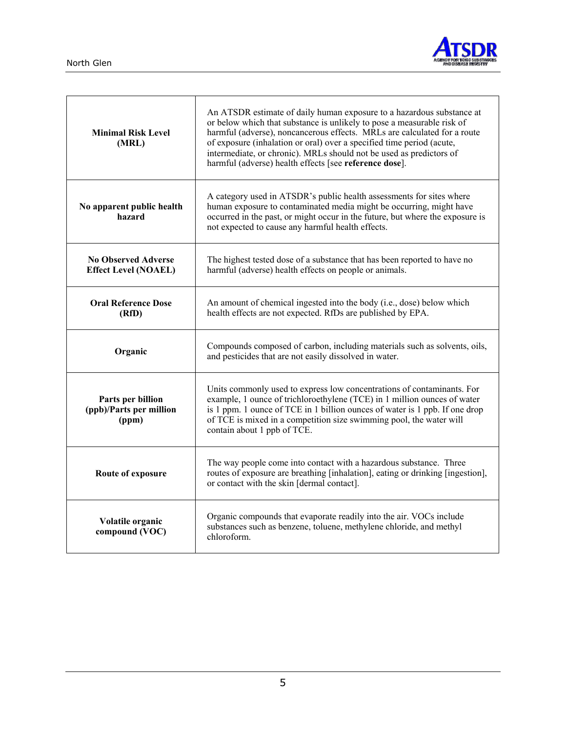

| <b>Minimal Risk Level</b><br>(MRL)                        | An ATSDR estimate of daily human exposure to a hazardous substance at<br>or below which that substance is unlikely to pose a measurable risk of<br>harmful (adverse), noncancerous effects. MRLs are calculated for a route<br>of exposure (inhalation or oral) over a specified time period (acute,<br>intermediate, or chronic). MRLs should not be used as predictors of<br>harmful (adverse) health effects [see reference dose]. |  |  |  |  |  |
|-----------------------------------------------------------|---------------------------------------------------------------------------------------------------------------------------------------------------------------------------------------------------------------------------------------------------------------------------------------------------------------------------------------------------------------------------------------------------------------------------------------|--|--|--|--|--|
| No apparent public health<br>hazard                       | A category used in ATSDR's public health assessments for sites where<br>human exposure to contaminated media might be occurring, might have<br>occurred in the past, or might occur in the future, but where the exposure is<br>not expected to cause any harmful health effects.                                                                                                                                                     |  |  |  |  |  |
| <b>No Observed Adverse</b><br><b>Effect Level (NOAEL)</b> | The highest tested dose of a substance that has been reported to have no<br>harmful (adverse) health effects on people or animals.                                                                                                                                                                                                                                                                                                    |  |  |  |  |  |
| <b>Oral Reference Dose</b><br>(RfD)                       | An amount of chemical ingested into the body (i.e., dose) below which<br>health effects are not expected. RfDs are published by EPA.                                                                                                                                                                                                                                                                                                  |  |  |  |  |  |
| Organic                                                   | Compounds composed of carbon, including materials such as solvents, oils,<br>and pesticides that are not easily dissolved in water.                                                                                                                                                                                                                                                                                                   |  |  |  |  |  |
| Parts per billion<br>(ppb)/Parts per million<br>(ppm)     | Units commonly used to express low concentrations of contaminants. For<br>example, 1 ounce of trichloroethylene (TCE) in 1 million ounces of water<br>is 1 ppm. 1 ounce of TCE in 1 billion ounces of water is 1 ppb. If one drop<br>of TCE is mixed in a competition size swimming pool, the water will<br>contain about 1 ppb of TCE.                                                                                               |  |  |  |  |  |
| Route of exposure                                         | The way people come into contact with a hazardous substance. Three<br>routes of exposure are breathing [inhalation], eating or drinking [ingestion],<br>or contact with the skin [dermal contact].                                                                                                                                                                                                                                    |  |  |  |  |  |
| Volatile organic<br>compound (VOC)                        | Organic compounds that evaporate readily into the air. VOCs include<br>substances such as benzene, toluene, methylene chloride, and methyl<br>chloroform.                                                                                                                                                                                                                                                                             |  |  |  |  |  |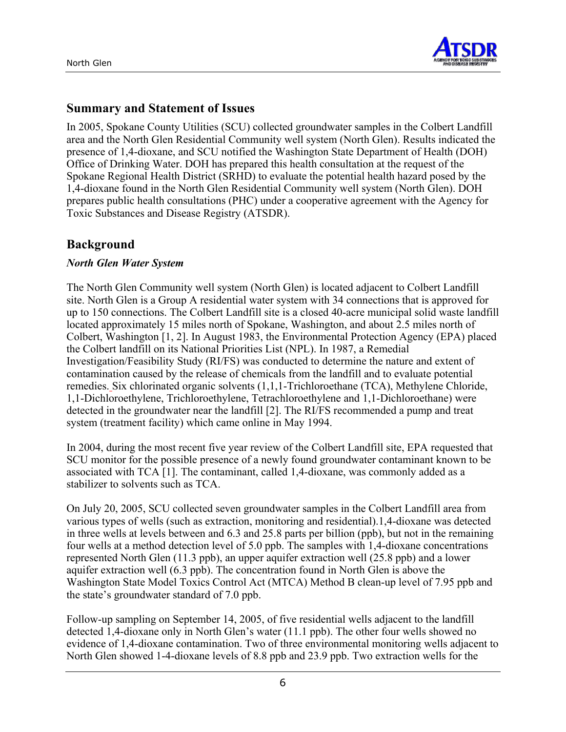

## **Summary and Statement of Issues**

In 2005, Spokane County Utilities (SCU) collected groundwater samples in the Colbert Landfill area and the North Glen Residential Community well system (North Glen). Results indicated the presence of 1,4-dioxane, and SCU notified the Washington State Department of Health (DOH) Office of Drinking Water. DOH has prepared this health consultation at the request of the Spokane Regional Health District (SRHD) to evaluate the potential health hazard posed by the 1,4-dioxane found in the North Glen Residential Community well system (North Glen). DOH prepares public health consultations (PHC) under a cooperative agreement with the Agency for Toxic Substances and Disease Registry (ATSDR).

## **Background**

#### *North Glen Water System*

The North Glen Community well system (North Glen) is located adjacent to Colbert Landfill site. North Glen is a Group A residential water system with 34 connections that is approved for up to 150 connections. The Colbert Landfill site is a closed 40-acre municipal solid waste landfill located approximately 15 miles north of Spokane, Washington, and about 2.5 miles north of Colbert, Washington [1, 2]. In August 1983, the Environmental Protection Agency (EPA) placed the Colbert landfill on its National Priorities List (NPL). In 1987, a Remedial Investigation/Feasibility Study (RI/FS) was conducted to determine the nature and extent of contamination caused by the release of chemicals from the landfill and to evaluate potential remedies. Six chlorinated organic solvents (1,1,1-Trichloroethane (TCA), Methylene Chloride, 1,1-Dichloroethylene, Trichloroethylene, Tetrachloroethylene and 1,1-Dichloroethane) were detected in the groundwater near the landfill [2]. The RI/FS recommended a pump and treat system (treatment facility) which came online in May 1994.

In 2004, during the most recent five year review of the Colbert Landfill site, EPA requested that SCU monitor for the possible presence of a newly found groundwater contaminant known to be associated with TCA [1]. The contaminant, called 1,4-dioxane, was commonly added as a stabilizer to solvents such as TCA.

On July 20, 2005, SCU collected seven groundwater samples in the Colbert Landfill area from various types of wells (such as extraction, monitoring and residential).1,4-dioxane was detected in three wells at levels between and 6.3 and 25.8 parts per billion (ppb), but not in the remaining four wells at a method detection level of 5.0 ppb. The samples with 1,4-dioxane concentrations represented North Glen (11.3 ppb), an upper aquifer extraction well (25.8 ppb) and a lower aquifer extraction well (6.3 ppb). The concentration found in North Glen is above the Washington State Model Toxics Control Act (MTCA) Method B clean-up level of 7.95 ppb and the state's groundwater standard of 7.0 ppb.

Follow-up sampling on September 14, 2005, of five residential wells adjacent to the landfill detected 1,4-dioxane only in North Glen's water (11.1 ppb). The other four wells showed no evidence of 1,4-dioxane contamination. Two of three environmental monitoring wells adjacent to North Glen showed 1-4-dioxane levels of 8.8 ppb and 23.9 ppb. Two extraction wells for the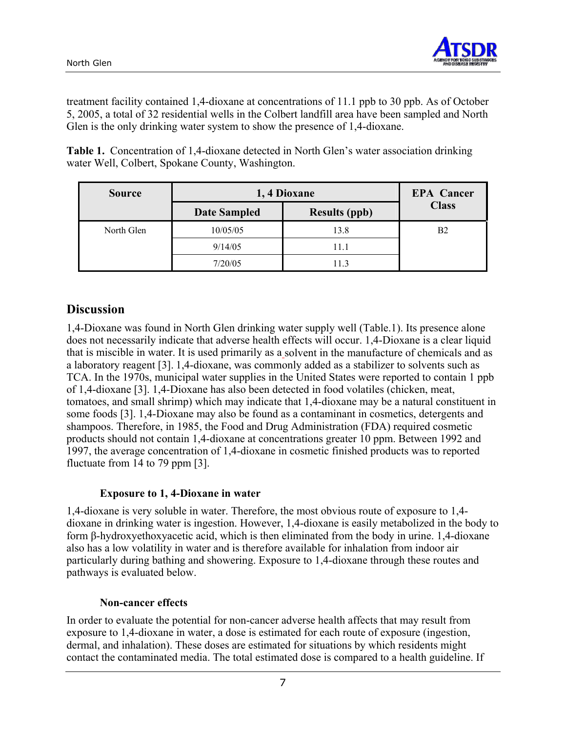

treatment facility contained 1,4-dioxane at concentrations of 11.1 ppb to 30 ppb. As of October 5, 2005, a total of 32 residential wells in the Colbert landfill area have been sampled and North Glen is the only drinking water system to show the presence of 1,4-dioxane.

**Table 1.** Concentration of 1,4-dioxane detected in North Glen's water association drinking water Well, Colbert, Spokane County, Washington.

| <b>Source</b> | 1, 4 Dioxane        | <b>EPA</b> Cancer    |                |
|---------------|---------------------|----------------------|----------------|
|               | <b>Date Sampled</b> | <b>Results (ppb)</b> | <b>Class</b>   |
| North Glen    | 10/05/05            | 13.8                 | B <sub>2</sub> |
|               | 9/14/05             | 11.1                 |                |
|               | 7/20/05             | 11.3                 |                |

## **Discussion**

1,4-Dioxane was found in North Glen drinking water supply well (Table.1). Its presence alone does not necessarily indicate that adverse health effects will occur. 1,4-Dioxane is a clear liquid that is miscible in water. It is used primarily as a solvent in the manufacture of chemicals and as a laboratory reagent [3]. 1,4-dioxane, was commonly added as a stabilizer to solvents such as TCA. In the 1970s, municipal water supplies in the United States were reported to contain 1 ppb of 1,4-dioxane [3]. 1,4-Dioxane has also been detected in food volatiles (chicken, meat, tomatoes, and small shrimp) which may indicate that 1,4-dioxane may be a natural constituent in some foods [3]. 1,4-Dioxane may also be found as a contaminant in cosmetics, detergents and shampoos. Therefore, in 1985, the Food and Drug Administration (FDA) required cosmetic products should not contain 1,4-dioxane at concentrations greater 10 ppm. Between 1992 and 1997, the average concentration of 1,4-dioxane in cosmetic finished products was to reported fluctuate from 14 to 79 ppm [3].

#### **Exposure to 1, 4-Dioxane in water**

1,4-dioxane is very soluble in water. Therefore, the most obvious route of exposure to 1,4 dioxane in drinking water is ingestion. However, 1,4-dioxane is easily metabolized in the body to form β-hydroxyethoxyacetic acid, which is then eliminated from the body in urine. 1,4-dioxane also has a low volatility in water and is therefore available for inhalation from indoor air particularly during bathing and showering. Exposure to 1,4-dioxane through these routes and pathways is evaluated below.

## **Non-cancer effects**

In order to evaluate the potential for non-cancer adverse health affects that may result from exposure to 1,4-dioxane in water, a dose is estimated for each route of exposure (ingestion, dermal, and inhalation). These doses are estimated for situations by which residents might contact the contaminated media. The total estimated dose is compared to a health guideline. If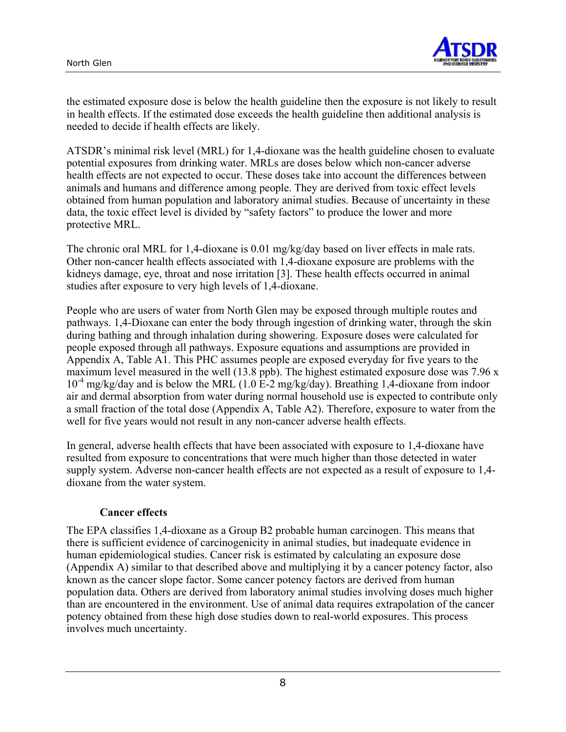

the estimated exposure dose is below the health guideline then the exposure is not likely to result in health effects. If the estimated dose exceeds the health guideline then additional analysis is needed to decide if health effects are likely.

ATSDR's minimal risk level (MRL) for 1,4-dioxane was the health guideline chosen to evaluate potential exposures from drinking water. MRLs are doses below which non-cancer adverse health effects are not expected to occur. These doses take into account the differences between animals and humans and difference among people. They are derived from toxic effect levels obtained from human population and laboratory animal studies. Because of uncertainty in these data, the toxic effect level is divided by "safety factors" to produce the lower and more protective MRL.

The chronic oral MRL for 1,4-dioxane is 0.01 mg/kg/day based on liver effects in male rats. Other non-cancer health effects associated with 1,4-dioxane exposure are problems with the kidneys damage, eye, throat and nose irritation [3]. These health effects occurred in animal studies after exposure to very high levels of 1,4-dioxane.

People who are users of water from North Glen may be exposed through multiple routes and pathways. 1,4-Dioxane can enter the body through ingestion of drinking water, through the skin during bathing and through inhalation during showering. Exposure doses were calculated for people exposed through all pathways. Exposure equations and assumptions are provided in Appendix A, Table A1. This PHC assumes people are exposed everyday for five years to the maximum level measured in the well (13.8 ppb). The highest estimated exposure dose was 7.96 x  $10^{-4}$  mg/kg/day and is below the MRL (1.0 E-2 mg/kg/day). Breathing 1,4-dioxane from indoor air and dermal absorption from water during normal household use is expected to contribute only a small fraction of the total dose (Appendix A, Table A2). Therefore, exposure to water from the well for five years would not result in any non-cancer adverse health effects.

In general, adverse health effects that have been associated with exposure to 1,4-dioxane have resulted from exposure to concentrations that were much higher than those detected in water supply system. Adverse non-cancer health effects are not expected as a result of exposure to 1,4 dioxane from the water system.

#### **Cancer effects**

The EPA classifies 1,4-dioxane as a Group B2 probable human carcinogen. This means that there is sufficient evidence of carcinogenicity in animal studies, but inadequate evidence in human epidemiological studies. Cancer risk is estimated by calculating an exposure dose (Appendix A) similar to that described above and multiplying it by a cancer potency factor, also known as the cancer slope factor. Some cancer potency factors are derived from human population data. Others are derived from laboratory animal studies involving doses much higher than are encountered in the environment. Use of animal data requires extrapolation of the cancer potency obtained from these high dose studies down to real-world exposures. This process involves much uncertainty.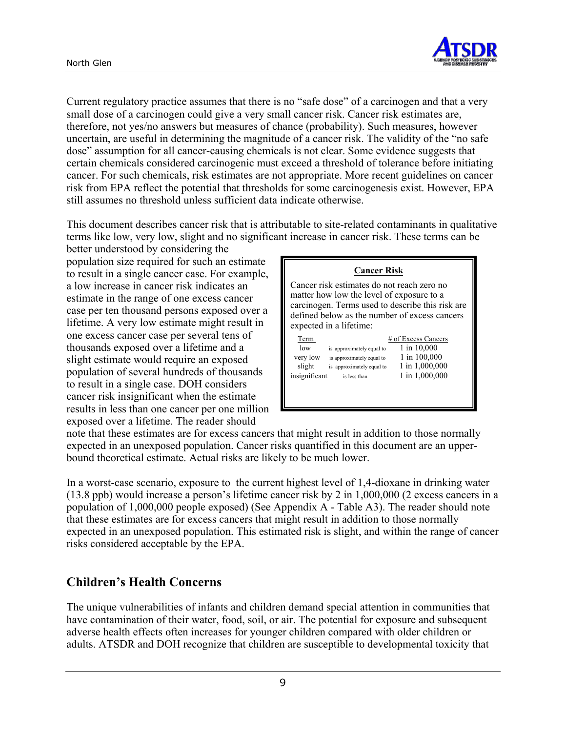

Current regulatory practice assumes that there is no "safe dose" of a carcinogen and that a very small dose of a carcinogen could give a very small cancer risk. Cancer risk estimates are, therefore, not yes/no answers but measures of chance (probability). Such measures, however uncertain, are useful in determining the magnitude of a cancer risk. The validity of the "no safe dose" assumption for all cancer-causing chemicals is not clear. Some evidence suggests that certain chemicals considered carcinogenic must exceed a threshold of tolerance before initiating cancer. For such chemicals, risk estimates are not appropriate. More recent guidelines on cancer risk from EPA reflect the potential that thresholds for some carcinogenesis exist. However, EPA still assumes no threshold unless sufficient data indicate otherwise.

This document describes cancer risk that is attributable to site-related contaminants in qualitative terms like low, very low, slight and no significant increase in cancer risk. These terms can be

better understood by considering the population size required for such an estimate to result in a single cancer case. For example, a low increase in cancer risk indicates an estimate in the range of one excess cancer case per ten thousand persons exposed over a lifetime. A very low estimate might result in one excess cancer case per several tens of thousands exposed over a lifetime and a slight estimate would require an exposed population of several hundreds of thousands to result in a single case. DOH considers cancer risk insignificant when the estimate results in less than one cancer per one million exposed over a lifetime. The reader should

| <b>Cancer Risk</b>                                                                                                                                                                           |
|----------------------------------------------------------------------------------------------------------------------------------------------------------------------------------------------|
| Cancer risk estimates do not reach zero no<br>matter how low the level of exposure to a<br>carcinogen. Terms used to describe this risk are<br>defined below as the number of excess cancers |
| # of Excess Cancers                                                                                                                                                                          |
| 1 in 10,000                                                                                                                                                                                  |
| 1 in 100,000                                                                                                                                                                                 |
| 1 in 1,000,000                                                                                                                                                                               |
| 1 in 1,000,000                                                                                                                                                                               |
|                                                                                                                                                                                              |
|                                                                                                                                                                                              |
|                                                                                                                                                                                              |

note that these estimates are for excess cancers that might result in addition to those normally expected in an unexposed population. Cancer risks quantified in this document are an upperbound theoretical estimate. Actual risks are likely to be much lower.

In a worst-case scenario, exposure to the current highest level of 1,4-dioxane in drinking water (13.8 ppb) would increase a person's lifetime cancer risk by 2 in 1,000,000 (2 excess cancers in a population of 1,000,000 people exposed) (See Appendix A - Table A3). The reader should note that these estimates are for excess cancers that might result in addition to those normally expected in an unexposed population. This estimated risk is slight, and within the range of cancer risks considered acceptable by the EPA.

## **Children's Health Concerns**

The unique vulnerabilities of infants and children demand special attention in communities that have contamination of their water, food, soil, or air. The potential for exposure and subsequent adverse health effects often increases for younger children compared with older children or adults. ATSDR and DOH recognize that children are susceptible to developmental toxicity that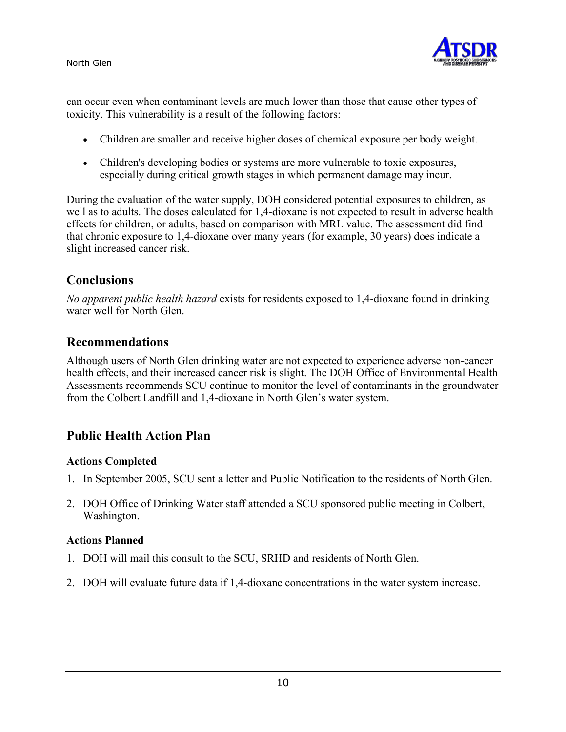

can occur even when contaminant levels are much lower than those that cause other types of toxicity. This vulnerability is a result of the following factors:

- Children are smaller and receive higher doses of chemical exposure per body weight.
- Children's developing bodies or systems are more vulnerable to toxic exposures, especially during critical growth stages in which permanent damage may incur.

During the evaluation of the water supply, DOH considered potential exposures to children, as well as to adults. The doses calculated for 1,4-dioxane is not expected to result in adverse health effects for children, or adults, based on comparison with MRL value. The assessment did find that chronic exposure to 1,4-dioxane over many years (for example, 30 years) does indicate a slight increased cancer risk.

## **Conclusions**

*No apparent public health hazard* exists for residents exposed to 1,4-dioxane found in drinking water well for North Glen.

## **Recommendations**

Although users of North Glen drinking water are not expected to experience adverse non-cancer health effects, and their increased cancer risk is slight. The DOH Office of Environmental Health Assessments recommends SCU continue to monitor the level of contaminants in the groundwater from the Colbert Landfill and 1,4-dioxane in North Glen's water system.

## **Public Health Action Plan**

#### **Actions Completed**

- 1. In September 2005, SCU sent a letter and Public Notification to the residents of North Glen.
- 2. DOH Office of Drinking Water staff attended a SCU sponsored public meeting in Colbert, Washington.

#### **Actions Planned**

- 1. DOH will mail this consult to the SCU, SRHD and residents of North Glen.
- 2. DOH will evaluate future data if 1,4-dioxane concentrations in the water system increase.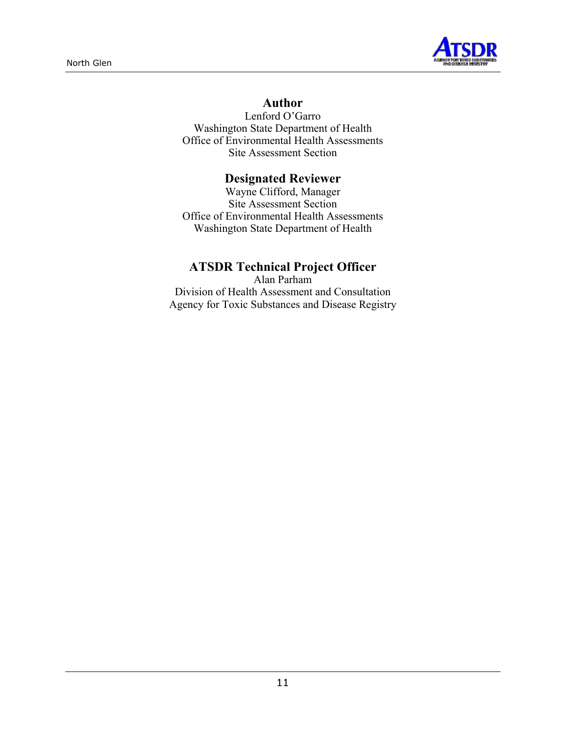

## **Author**

Lenford O'Garro Washington State Department of Health Office of Environmental Health Assessments Site Assessment Section

## **Designated Reviewer**

Wayne Clifford, Manager Site Assessment Section Office of Environmental Health Assessments Washington State Department of Health

## **ATSDR Technical Project Officer**

Alan Parham Division of Health Assessment and Consultation Agency for Toxic Substances and Disease Registry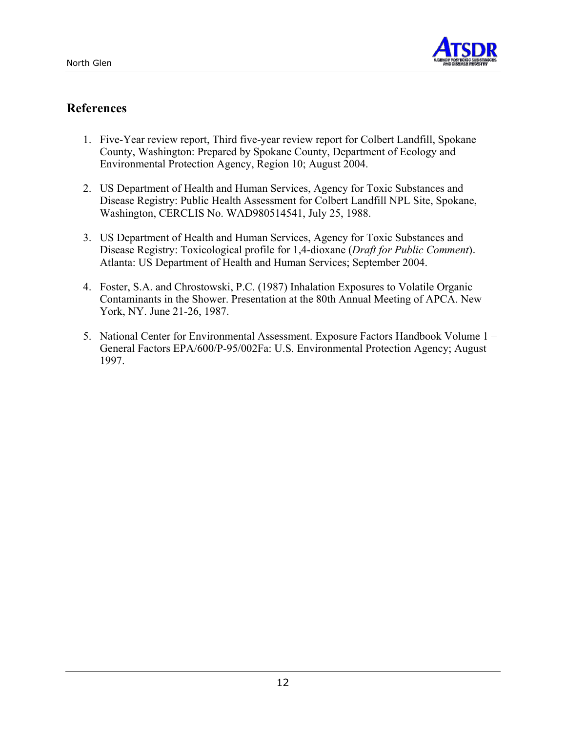

## **References**

- 1. Five-Year review report, Third five-year review report for Colbert Landfill, Spokane County, Washington: Prepared by Spokane County, Department of Ecology and Environmental Protection Agency, Region 10; August 2004.
- 2. US Department of Health and Human Services, Agency for Toxic Substances and Disease Registry: Public Health Assessment for Colbert Landfill NPL Site, Spokane, Washington, CERCLIS No. WAD980514541, July 25, 1988.
- 3. US Department of Health and Human Services, Agency for Toxic Substances and Disease Registry: Toxicological profile for 1,4-dioxane (*Draft for Public Comment*). Atlanta: US Department of Health and Human Services; September 2004.
- 4. Foster, S.A. and Chrostowski, P.C. (1987) Inhalation Exposures to Volatile Organic Contaminants in the Shower. Presentation at the 80th Annual Meeting of APCA. New York, NY. June 21-26, 1987.
- 5. National Center for Environmental Assessment. Exposure Factors Handbook Volume 1 General Factors EPA/600/P-95/002Fa: U.S. Environmental Protection Agency; August 1997.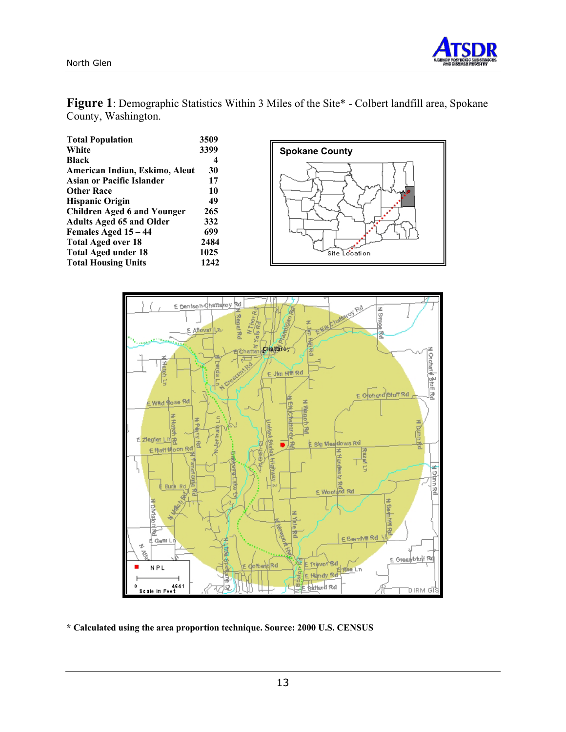

**Figure 1**: Demographic Statistics Within 3 Miles of the Site\* - Colbert landfill area, Spokane County, Washington.

| <b>Total Population</b>            | 3509 |
|------------------------------------|------|
| White                              | 3399 |
| <b>Black</b>                       | 4    |
| American Indian, Eskimo, Aleut     | 30   |
| <b>Asian or Pacific Islander</b>   | 17   |
| <b>Other Race</b>                  | 10   |
| <b>Hispanic Origin</b>             | 49   |
| <b>Children Aged 6 and Younger</b> | 265  |
| <b>Adults Aged 65 and Older</b>    | 332  |
| Females Aged 15 - 44               | 699  |
| <b>Total Aged over 18</b>          | 2484 |
| <b>Total Aged under 18</b>         | 1025 |
| <b>Total Housing Units</b>         | 1242 |





**\* Calculated using the area proportion technique. Source: 2000 U.S. CENSUS**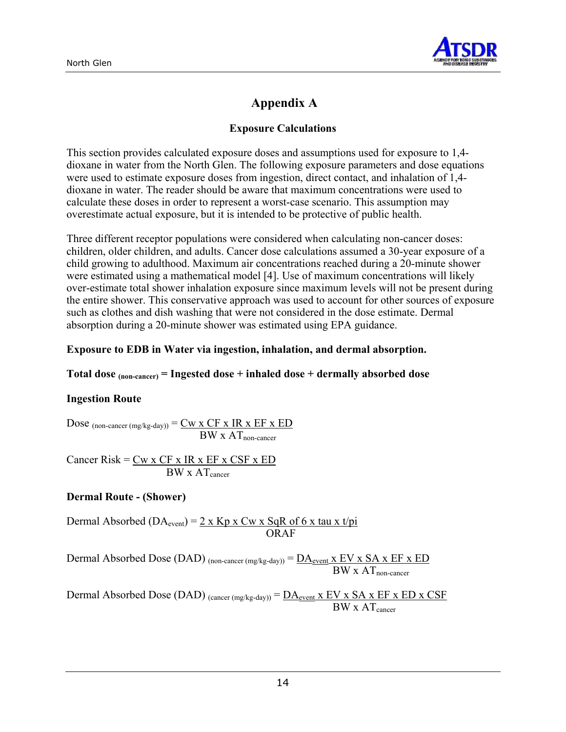

## **Appendix A**

#### **Exposure Calculations**

This section provides calculated exposure doses and assumptions used for exposure to 1,4 dioxane in water from the North Glen. The following exposure parameters and dose equations were used to estimate exposure doses from ingestion, direct contact, and inhalation of 1,4 dioxane in water. The reader should be aware that maximum concentrations were used to calculate these doses in order to represent a worst-case scenario. This assumption may overestimate actual exposure, but it is intended to be protective of public health.

Three different receptor populations were considered when calculating non-cancer doses: children, older children, and adults. Cancer dose calculations assumed a 30-year exposure of a child growing to adulthood. Maximum air concentrations reached during a 20-minute shower were estimated using a mathematical model [4]. Use of maximum concentrations will likely over-estimate total shower inhalation exposure since maximum levels will not be present during the entire shower. This conservative approach was used to account for other sources of exposure such as clothes and dish washing that were not considered in the dose estimate. Dermal absorption during a 20-minute shower was estimated using EPA guidance.

#### **Exposure to EDB in Water via ingestion, inhalation, and dermal absorption.**

#### **Total dose (non-cancer) = Ingested dose + inhaled dose + dermally absorbed dose**

#### **Ingestion Route**

Dose  $_{(non\text{-}cancer \,(mg/kg\text{-}day))} = \underline{Cw \times CF \times IR \times EF \times ED}$  $BW \times AT_{non-cancer}$ 

Cancer Risk =  $Cw$  x  $CF$  x IR x  $EF$  x  $CSF$  x  $ED$  $BW \times AT_{\text{cancer}}$ 

#### **Dermal Route - (Shower)**

Dermal Absorbed (DA<sub>event</sub>) =  $2 \times$  Kp x Cw x SqR of 6 x tau x t/pi ORAF

Dermal Absorbed Dose (DAD) (non-cancer (mg/kg-day)) =  $\underline{DA}_{event}$  x EV x SA x EF x ED  $BW \times AT_{non-cancer}$ 

Dermal Absorbed Dose (DAD)  $_{(cancer (mg/kg-day))} = D A_{event} x EV x SA x EF x ED x CSF$  $BW \times AT_{\text{cancer}}$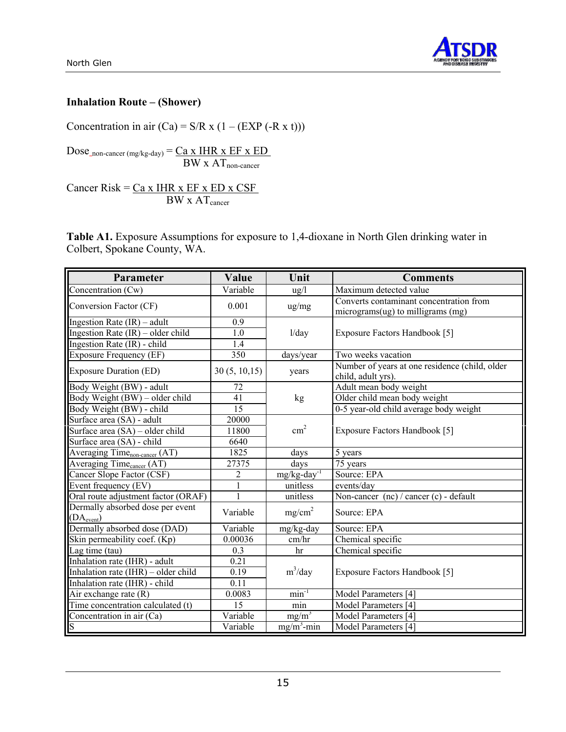



#### **Inhalation Route – (Shower)**

Concentration in air  $(Ca) = S/R \times (1 - (EXP (-R \times t)))$ 

 $Dose_{\text{non-cancer (mg/kg-day)}} = \underline{Ca \times HHR \times EF \times ED}$  $BW \times AT_{non-cancer}$ 

Cancer Risk =  $Ca x IHR x EF x ED x CSF$ </u>  $BW \times AT_{cancer}$ 

**Table A1.** Exposure Assumptions for exposure to 1,4-dioxane in North Glen drinking water in Colbert, Spokane County, WA.

| Parameter                                                  | Value         | Unit                       | <b>Comments</b>                                                              |  |  |
|------------------------------------------------------------|---------------|----------------------------|------------------------------------------------------------------------------|--|--|
| Concentration (Cw)                                         | Variable      | $\frac{u g}{l}$            | Maximum detected value                                                       |  |  |
| Conversion Factor (CF)                                     | 0.001         | ug/mg                      | Converts contaminant concentration from<br>micrograms(ug) to milligrams (mg) |  |  |
| Ingestion Rate $(IR)$ – adult                              | 0.9           |                            |                                                                              |  |  |
| Ingestion Rate $(IR)$ – older child                        | 1.0           | 1/day                      | Exposure Factors Handbook [5]                                                |  |  |
| Ingestion Rate (IR) - child                                | 1.4           |                            |                                                                              |  |  |
| <b>Exposure Frequency (EF)</b>                             | 350           | days/year                  | Two weeks vacation                                                           |  |  |
| <b>Exposure Duration (ED)</b>                              | 30(5, 10, 15) | years                      | Number of years at one residence (child, older<br>child, adult yrs).         |  |  |
| Body Weight (BW) - adult                                   | 72            |                            | Adult mean body weight                                                       |  |  |
| Body Weight (BW) – older child                             | 41            | kg                         | Older child mean body weight                                                 |  |  |
| Body Weight (BW) - child                                   | 15            |                            | 0-5 year-old child average body weight                                       |  |  |
| Surface area (SA) - adult                                  | 20000         |                            |                                                                              |  |  |
| Surface area $(SA)$ – older child                          | 11800         | $\text{cm}^2$              | Exposure Factors Handbook [5]                                                |  |  |
| Surface area (SA) - child                                  | 6640          |                            |                                                                              |  |  |
| Averaging Time <sub>non-cancer</sub> (AT)                  | 1825          | days                       | 5 years                                                                      |  |  |
| Averaging Time <sub>cancer</sub> (AT)                      | 27375         | days                       | 75 years                                                                     |  |  |
| Cancer Slope Factor (CSF)                                  | 2             | $mg/kg$ -day <sup>-1</sup> | Source: EPA                                                                  |  |  |
| Event frequency (EV)                                       | $\mathbf{1}$  | unitless                   | events/day                                                                   |  |  |
| Oral route adjustment factor (ORAF)                        | 1             | unitless                   | Non-cancer (nc) / cancer (c) - default                                       |  |  |
| Dermally absorbed dose per event<br>(DA <sub>event</sub> ) | Variable      | mg/cm <sup>2</sup>         | Source: EPA                                                                  |  |  |
| Dermally absorbed dose (DAD)                               | Variable      | mg/kg-day                  | Source: EPA                                                                  |  |  |
| Skin permeability coef. (Kp)                               | 0.00036       | cm/hr                      | Chemical specific                                                            |  |  |
| Lag time (tau)                                             | 0.3           | hr                         | Chemical specific                                                            |  |  |
| Inhalation rate (IHR) - adult                              | 0.21          |                            |                                                                              |  |  |
| Inhalation rate (IHR) - older child                        | 0.19          | $m^3$ /day                 | Exposure Factors Handbook [5]                                                |  |  |
| Inhalation rate (IHR) - child                              | 0.11          |                            |                                                                              |  |  |
| Air exchange rate (R)                                      | 0.0083        | $min^{-1}$                 | Model Parameters [4]                                                         |  |  |
| Time concentration calculated (t)                          | 15            | min                        | Model Parameters [4]                                                         |  |  |
| Concentration in air (Ca)                                  | Variable      | $mg/m^3$                   | Model Parameters [4]                                                         |  |  |
| S                                                          | Variable      | $mg/m^3$ -min              | Model Parameters [4]                                                         |  |  |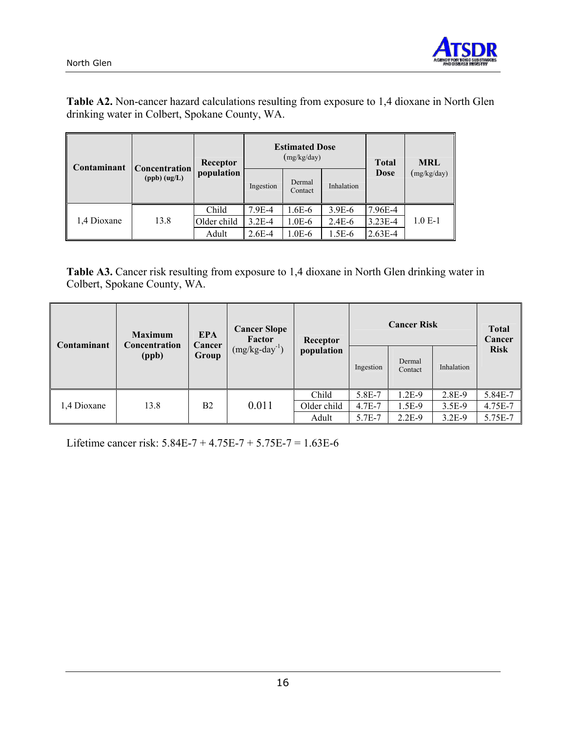



**Table A2.** Non-cancer hazard calculations resulting from exposure to 1,4 dioxane in North Glen drinking water in Colbert, Spokane County, WA.

| Contaminant | Concentration<br>$(ppb)$ $(ug/L)$ | Receptor    |           | <b>Estimated Dose</b><br>(mg/kg/day) | <b>Total</b> | <b>MRL</b>  |             |
|-------------|-----------------------------------|-------------|-----------|--------------------------------------|--------------|-------------|-------------|
|             |                                   | population  | Ingestion | Dermal<br>Contact                    | Inhalation   | <b>Dose</b> | (mg/kg/day) |
|             |                                   | Child       | 7.9E-4    | $1.6E-6$                             | $3.9E-6$     | 7.96E-4     |             |
| 1,4 Dioxane | 13.8                              | Older child | $3.2E-4$  | $1.0E-6$                             | $2.4E-6$     | $3.23E-4$   | $1.0 E-1$   |
|             |                                   | Adult       | $2.6E-4$  | $1.0E-6$                             | 1.5E-6       | $2.63E-4$   |             |

**Table A3.** Cancer risk resulting from exposure to 1,4 dioxane in North Glen drinking water in Colbert, Spokane County, WA.

| Contaminant | <b>Maximum</b><br>Concentration<br>(ppb) | <b>EPA</b><br>Cancer<br>Group | <b>Cancer Slope</b><br>Factor<br>$(mg/kg-day^{-1})$ | Receptor<br>population | <b>Cancer Risk</b> |                   |            | <b>Total</b><br>Cancer |
|-------------|------------------------------------------|-------------------------------|-----------------------------------------------------|------------------------|--------------------|-------------------|------------|------------------------|
|             |                                          |                               |                                                     |                        | Ingestion          | Dermal<br>Contact | Inhalation | <b>Risk</b>            |
|             |                                          |                               |                                                     | Child                  | 5.8E-7             | 1.2E-9            | 2.8E-9     | 5.84E-7                |
| 1,4 Dioxane | 13.8                                     | B <sub>2</sub>                | 0.011                                               | Older child            | 4.7E-7             | 1.5E-9            | 3.5E-9     | 4.75E-7                |
|             |                                          |                               |                                                     | Adult                  | 5.7E-7             | $2.2E-9$          | $3.2E-9$   | 5.75E-7                |

Lifetime cancer risk: 5.84E-7 + 4.75E-7 + 5.75E-7 = 1.63E-6